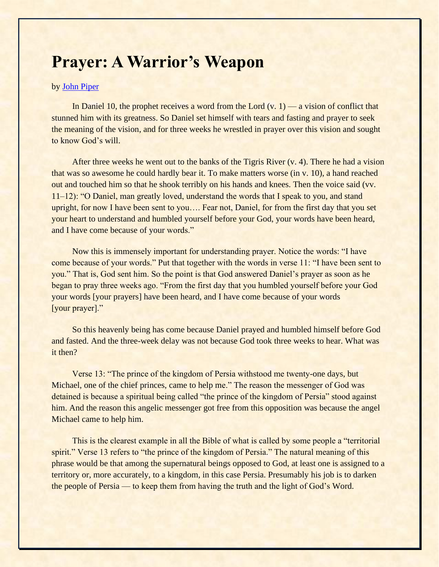## **Prayer: A Warrior's Weapon**

## by [John Piper](https://www.ligonier.org/learn/teachers/john-piper/)

In Daniel 10, the prophet receives a word from the Lord  $(v, 1)$  — a vision of conflict that stunned him with its greatness. So Daniel set himself with tears and fasting and prayer to seek the meaning of the vision, and for three weeks he wrestled in prayer over this vision and sought to know God's will.

After three weeks he went out to the banks of the Tigris River (v. 4). There he had a vision that was so awesome he could hardly bear it. To make matters worse (in v. 10), a hand reached out and touched him so that he shook terribly on his hands and knees. Then the voice said (vv. 11–12): "O Daniel, man greatly loved, understand the words that I speak to you, and stand upright, for now I have been sent to you…. Fear not, Daniel, for from the first day that you set your heart to understand and humbled yourself before your God, your words have been heard, and I have come because of your words."

Now this is immensely important for understanding prayer. Notice the words: "I have come because of your words." Put that together with the words in verse 11: "I have been sent to you." That is, God sent him. So the point is that God answered Daniel's prayer as soon as he began to pray three weeks ago. "From the first day that you humbled yourself before your God your words [your prayers] have been heard, and I have come because of your words [your prayer]."

So this heavenly being has come because Daniel prayed and humbled himself before God and fasted. And the three-week delay was not because God took three weeks to hear. What was it then?

Verse 13: "The prince of the kingdom of Persia withstood me twenty-one days, but Michael, one of the chief princes, came to help me." The reason the messenger of God was detained is because a spiritual being called "the prince of the kingdom of Persia" stood against him. And the reason this angelic messenger got free from this opposition was because the angel Michael came to help him.

This is the clearest example in all the Bible of what is called by some people a "territorial" spirit." Verse 13 refers to "the prince of the kingdom of Persia." The natural meaning of this phrase would be that among the supernatural beings opposed to God, at least one is assigned to a territory or, more accurately, to a kingdom, in this case Persia. Presumably his job is to darken the people of Persia — to keep them from having the truth and the light of God's Word.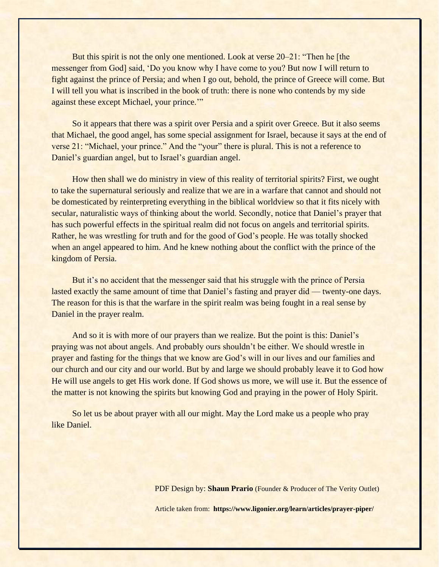But this spirit is not the only one mentioned. Look at verse 20–21: "Then he [the messenger from God] said, 'Do you know why I have come to you? But now I will return to fight against the prince of Persia; and when I go out, behold, the prince of Greece will come. But I will tell you what is inscribed in the book of truth: there is none who contends by my side against these except Michael, your prince.'"

So it appears that there was a spirit over Persia and a spirit over Greece. But it also seems that Michael, the good angel, has some special assignment for Israel, because it says at the end of verse 21: "Michael, your prince." And the "your" there is plural. This is not a reference to Daniel's guardian angel, but to Israel's guardian angel.

How then shall we do ministry in view of this reality of territorial spirits? First, we ought to take the supernatural seriously and realize that we are in a warfare that cannot and should not be domesticated by reinterpreting everything in the biblical worldview so that it fits nicely with secular, naturalistic ways of thinking about the world. Secondly, notice that Daniel's prayer that has such powerful effects in the spiritual realm did not focus on angels and territorial spirits. Rather, he was wrestling for truth and for the good of God's people. He was totally shocked when an angel appeared to him. And he knew nothing about the conflict with the prince of the kingdom of Persia.

But it's no accident that the messenger said that his struggle with the prince of Persia lasted exactly the same amount of time that Daniel's fasting and prayer did — twenty-one days. The reason for this is that the warfare in the spirit realm was being fought in a real sense by Daniel in the prayer realm.

And so it is with more of our prayers than we realize. But the point is this: Daniel's praying was not about angels. And probably ours shouldn't be either. We should wrestle in prayer and fasting for the things that we know are God's will in our lives and our families and our church and our city and our world. But by and large we should probably leave it to God how He will use angels to get His work done. If God shows us more, we will use it. But the essence of the matter is not knowing the spirits but knowing God and praying in the power of Holy Spirit.

So let us be about prayer with all our might. May the Lord make us a people who pray like Daniel.

PDF Design by: **Shaun Prario** (Founder & Producer of The Verity Outlet)

Article taken from: **https://www.ligonier.org/learn/articles/prayer-piper/**